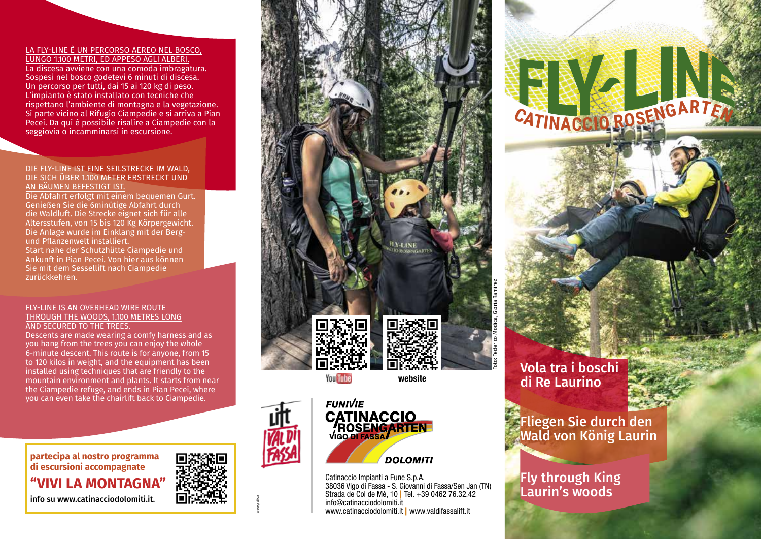### LA FLY-LINE È UN PERCORSO AEREO NEL BOSCO,

LUNGO 1.100 METRI, ED APPESO AGLI ALBERI. La discesa avviene con una comoda imbragatura. Sospesi nel bosco godetevi 6 minuti di discesa. Un percorso per tutti, dai 15 ai 120 kg di peso. L'impianto è stato installato con tecniche che rispettano l'ambiente di montagna e la vegetazione. Si parte vicino al Rifugio Ciampedie e si arriva a Pian Pecei. Da qui è possibile risalire a Ciampedie con la seggiovia o incamminarsi in escursione.

#### DIE FLY-LINE IST EINE SEILSTRECKE IM WALD, DIE SICH ÜBER 1.100 METER ERSTRECKT UND AN BÄUMEN BEFESTIGT IST.

Die Abfahrt erfolgt mit einem bequemen Gurt. Genießen Sie die 6minütige Abfahrt durch die Waldluft. Die Strecke eignet sich für alle Altersstufen, von 15 bis 120 Kg Körpergewicht. Die Anlage wurde im Einklang mit der Bergund Pflanzenwelt installiert. Start nahe der Schutzhütte Ciampedie und Ankunft in Pian Pecei. Von hier aus können Sie mit dem Sessellift nach Ciampedie zurückkehren.

#### FLY-LINE IS AN OVERHEAD WIRE ROUTE THROUGH THE WOODS, 1.100 METRES LONG AND SECURED TO THE TREES.

Descents are made wearing a comfy harness and as you hang from the trees you can enjoy the whole 6-minute descent. This route is for anyone, from 15 to 120 kilos in weight, and the equipment has been installed using techniques that are friendly to the mountain environment and plants. It starts from near the Ciampedie refuge, and ends in Pian Pecei, where you can even take the chairlift back to Ciampedie.

**partecipa al nostro programma di escursioni accompagnate "VIVI LA MONTAGNA"** info su www.catinacciodolomiti.it.



areagrafica



**You Tube** 



Catinaccio Impianti a Fune S.p.A. 38036 Vigo di Fassa - S. Giovanni di Fassa/Sen Jan (TN) Strada de Col de Mè, 10 | Tel. +39 0462 76.32.42 info@catinacciodolomiti.it www.catinacciodolomiti.it | www.valdifassalift.it

**DOLOMITI** 

Vola tra i boschi di Re Laurino

**<sup>C</sup>ATINACCI<sup>O</sup> <sup>R</sup>OSENGARTE<sup>N</sup>**

Fliegen Sie durch den Wald von König Laurin

## Fly through King Laurin's woods